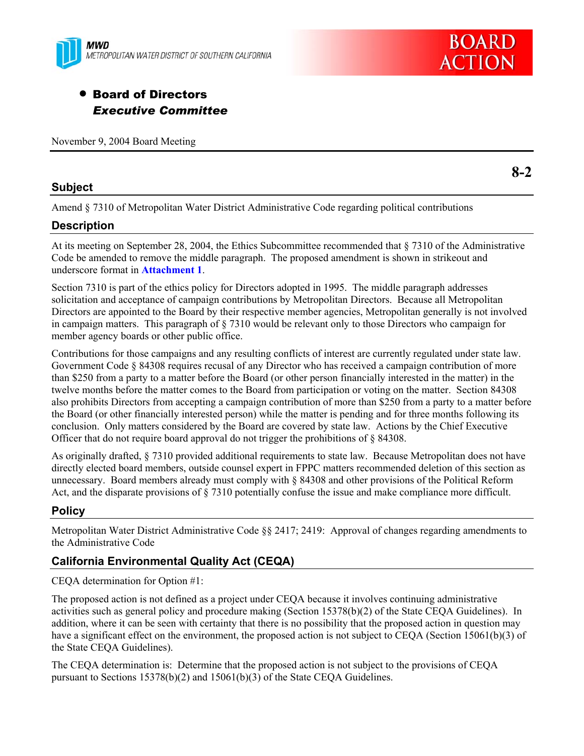



# • Board of Directors *Executive Committee*

November 9, 2004 Board Meeting

### **Subject**

**8-2** 

Amend § 7310 of Metropolitan Water District Administrative Code regarding political contributions

# **Description**

At its meeting on September 28, 2004, the Ethics Subcommittee recommended that § 7310 of the Administrative Code be amended to remove the middle paragraph. The proposed amendment is shown in strikeout and underscore format in **Attachment 1**.

Section 7310 is part of the ethics policy for Directors adopted in 1995. The middle paragraph addresses solicitation and acceptance of campaign contributions by Metropolitan Directors. Because all Metropolitan Directors are appointed to the Board by their respective member agencies, Metropolitan generally is not involved in campaign matters. This paragraph of § 7310 would be relevant only to those Directors who campaign for member agency boards or other public office.

Contributions for those campaigns and any resulting conflicts of interest are currently regulated under state law. Government Code § 84308 requires recusal of any Director who has received a campaign contribution of more than \$250 from a party to a matter before the Board (or other person financially interested in the matter) in the twelve months before the matter comes to the Board from participation or voting on the matter. Section 84308 also prohibits Directors from accepting a campaign contribution of more than \$250 from a party to a matter before the Board (or other financially interested person) while the matter is pending and for three months following its conclusion. Only matters considered by the Board are covered by state law. Actions by the Chief Executive Officer that do not require board approval do not trigger the prohibitions of  $\S$  84308.

As originally drafted, § 7310 provided additional requirements to state law. Because Metropolitan does not have directly elected board members, outside counsel expert in FPPC matters recommended deletion of this section as unnecessary. Board members already must comply with § 84308 and other provisions of the Political Reform Act, and the disparate provisions of § 7310 potentially confuse the issue and make compliance more difficult.

# **Policy**

Metropolitan Water District Administrative Code §§ 2417; 2419: Approval of changes regarding amendments to the Administrative Code

# **California Environmental Quality Act (CEQA)**

CEQA determination for Option #1:

The proposed action is not defined as a project under CEQA because it involves continuing administrative activities such as general policy and procedure making (Section 15378(b)(2) of the State CEQA Guidelines). In addition, where it can be seen with certainty that there is no possibility that the proposed action in question may have a significant effect on the environment, the proposed action is not subject to CEQA (Section 15061(b)(3) of the State CEQA Guidelines).

The CEQA determination is: Determine that the proposed action is not subject to the provisions of CEQA pursuant to Sections 15378(b)(2) and 15061(b)(3) of the State CEQA Guidelines.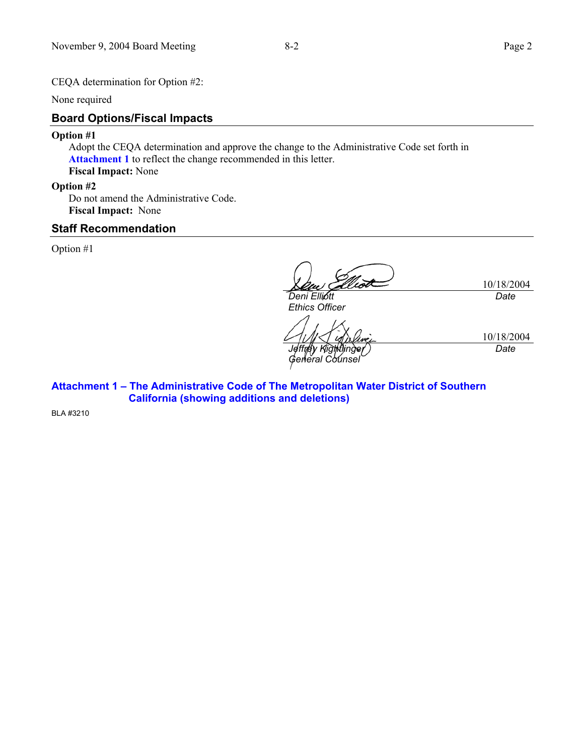CEQA determination for Option #2:

None required

# **Board Options/Fiscal Impacts**

#### **Option #1**

Adopt the CEQA determination and approve the change to the Administrative Code set forth in **Attachment 1** to reflect the change recommended in this letter. **Fiscal Impact:** None

#### **Option #2**

Do not amend the Administrative Code. **Fiscal Impact:** None

### **Staff Recommendation**

Option #1

10/18/2004 *Deni Elliott Ethics Officer Date* 

*Jeffrey Kightlinger General Counsel* 

10/18/2004 *Date* 

**Attachment 1 – The Administrative Code of The Metropolitan Water District of Southern California (showing additions and deletions)** 

BLA #3210